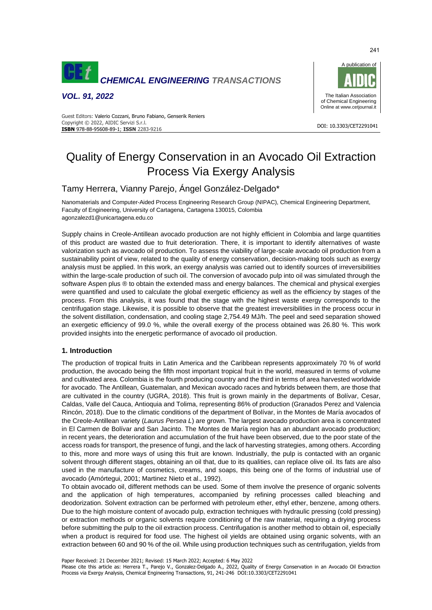

*VOL. 91, 2022*



#### DOI: 10.3303/CET2291041 **ISBN** 978-88-95608-89-1; **ISSN** 2283-9216 Guest Editors: Valerio Cozzani, Bruno Fabiano, Genserik Reniers Copyright © 2022, AIDIC Servizi S.r.l.

# Quality of Energy Conservation in an Avocado Oil Extraction Process Via Exergy Analysis

## Tamy Herrera, Vianny Parejo, Ángel González-Delgado\*

Nanomaterials and Computer-Aided Process Engineering Research Group (NIPAC), Chemical Engineering Department, Faculty of Engineering, University of Cartagena, Cartagena 130015, Colombia agonzalezd1@unicartagena.edu.co

Supply chains in Creole-Antillean avocado production are not highly efficient in Colombia and large quantities of this product are wasted due to fruit deterioration. There, it is important to identify alternatives of waste valorization such as avocado oil production. To assess the viability of large-scale avocado oil production from a sustainability point of view, related to the quality of energy conservation, decision-making tools such as exergy analysis must be applied. In this work, an exergy analysis was carried out to identify sources of irreversibilities within the large-scale production of such oil. The conversion of avocado pulp into oil was simulated through the software Aspen plus ® to obtain the extended mass and energy balances. The chemical and physical exergies were quantified and used to calculate the global exergetic efficiency as well as the efficiency by stages of the process. From this analysis, it was found that the stage with the highest waste exergy corresponds to the centrifugation stage. Likewise, it is possible to observe that the greatest irreversibilities in the process occur in the solvent distillation, condensation, and cooling stage 2,754.49 MJ/h. The peel and seed separation showed an exergetic efficiency of 99.0 %, while the overall exergy of the process obtained was 26.80 %. This work provided insights into the energetic performance of avocado oil production.

## **1. Introduction**

The production of tropical fruits in Latin America and the Caribbean represents approximately 70 % of world production, the avocado being the fifth most important tropical fruit in the world, measured in terms of volume and cultivated area. Colombia is the fourth producing country and the third in terms of area harvested worldwide for avocado. The Antillean, Guatemalan, and Mexican avocado races and hybrids between them, are those that are cultivated in the country (UGRA, 2018). This fruit is grown mainly in the departments of Bolívar, Cesar, Caldas, Valle del Cauca, Antioquia and Tolima, representing 86% of production (Granados Perez and Valencia Rincón, 2018). Due to the climatic conditions of the department of Bolívar, in the Montes de María avocados of the Creole-Antillean variety (*Laurus Persea L*) are grown. The largest avocado production area is concentrated in El Carmen de Bolívar and San Jacinto. The Montes de María region has an abundant avocado production; in recent years, the deterioration and accumulation of the fruit have been observed, due to the poor state of the access roads for transport, the presence of fungi, and the lack of harvesting strategies, among others. According to this, more and more ways of using this fruit are known. Industrially, the pulp is contacted with an organic solvent through different stages, obtaining an oil that, due to its qualities, can replace olive oil. Its fats are also used in the manufacture of cosmetics, creams, and soaps, this being one of the forms of industrial use of avocado (Amórtegui, 2001; Martinez Nieto et al., 1992).

To obtain avocado oil, different methods can be used. Some of them involve the presence of organic solvents and the application of high temperatures, accompanied by refining processes called bleaching and deodorization. Solvent extraction can be performed with petroleum ether, ethyl ether, benzene, among others. Due to the high moisture content of avocado pulp, extraction techniques with hydraulic pressing (cold pressing) or extraction methods or organic solvents require conditioning of the raw material, requiring a drying process before submitting the pulp to the oil extraction process. Centrifugation is another method to obtain oil, especially when a product is required for food use. The highest oil yields are obtained using organic solvents, with an extraction between 60 and 90 % of the oil. While using production techniques such as centrifugation, yields from

Paper Received: 21 December 2021; Revised: 15 March 2022; Accepted: 6 May 2022

Please cite this article as: Herrera T., Parejo V., Gonzalez-Delgado A., 2022, Quality of Energy Conservation in an Avocado Oil Extraction Process via Exergy Analysis, Chemical Engineering Transactions, 91, 241-246 DOI:10.3303/CET2291041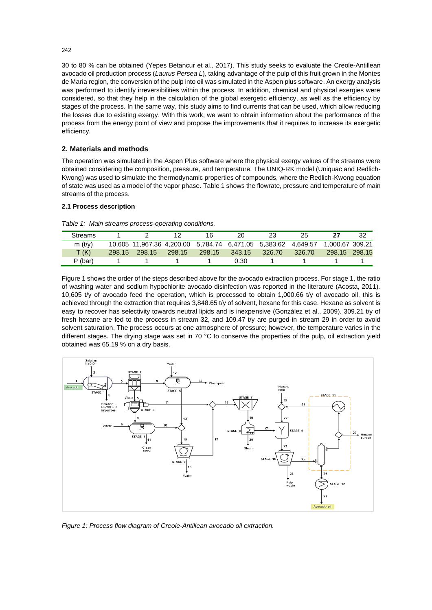30 to 80 % can be obtained (Yepes Betancur et al., 2017). This study seeks to evaluate the Creole-Antillean avocado oil production process (*Laurus Persea L*), taking advantage of the pulp of this fruit grown in the Montes de María region, the conversion of the pulp into oil was simulated in the Aspen plus software. An exergy analysis was performed to identify irreversibilities within the process. In addition, chemical and physical exergies were considered, so that they help in the calculation of the global exergetic efficiency, as well as the efficiency by stages of the process. In the same way, this study aims to find currents that can be used, which allow reducing the losses due to existing exergy. With this work, we want to obtain information about the performance of the process from the energy point of view and propose the improvements that it requires to increase its exergetic efficiency.

## **2. Materials and methods**

The operation was simulated in the Aspen Plus software where the physical exergy values of the streams were obtained considering the composition, pressure, and temperature. The UNIQ-RK model (Uniquac and Redlich-Kwong) was used to simulate the thermodynamic properties of compounds, where the Redlich-Kwong equation of state was used as a model of the vapor phase. Table 1 shows the flowrate, pressure and temperature of main streams of the process.

## **2.1 Process description**

| <b>Streams</b> |                                                                               |        | 16     | 20.    | 23     | 25     |               | -32 |
|----------------|-------------------------------------------------------------------------------|--------|--------|--------|--------|--------|---------------|-----|
| m(t/v)         | 10,605 11,967.36 4,200.00 5,784.74 6,471.05 5,383.62 4,649.57 1,000.67 309.21 |        |        |        |        |        |               |     |
| T(K)           | 298.15 298.15                                                                 | 298.15 | 298.15 | 343.15 | 326.70 | 326.70 | 298.15 298.15 |     |
| P (bar)        |                                                                               |        |        | 0.30   |        |        |               |     |

*Table 1: Main streams process-operating conditions.*

Figure 1 shows the order of the steps described above for the avocado extraction process. For stage 1, the ratio of washing water and sodium hypochlorite avocado disinfection was reported in the literature (Acosta, 2011). 10,605 t/y of avocado feed the operation, which is processed to obtain 1,000.66 t/y of avocado oil, this is achieved through the extraction that requires 3,848.65 t/y of solvent, hexane for this case. Hexane as solvent is easy to recover has selectivity towards neutral lipids and is inexpensive (González et al., 2009). 309.21 t/y of fresh hexane are fed to the process in stream 32, and 109.47 t/y are purged in stream 29 in order to avoid solvent saturation. The process occurs at one atmosphere of pressure; however, the temperature varies in the different stages. The drying stage was set in 70 °C to conserve the properties of the pulp, oil extraction yield obtained was 65.19 % on a dry basis.



*Figure 1: Process flow diagram of Creole-Antillean avocado oil extraction.*

242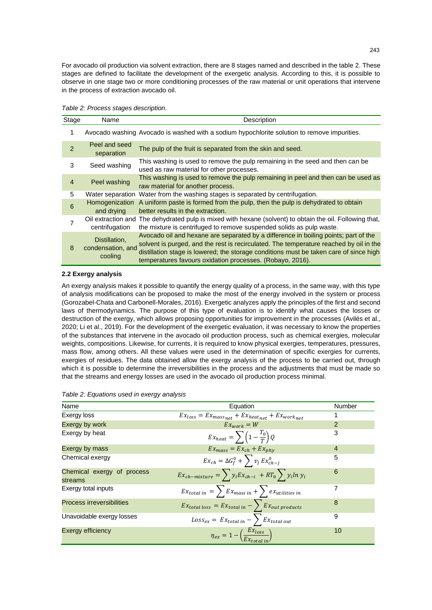For avocado oil production via solvent extraction, there are 8 stages named and described in the table 2. These stages are defined to facilitate the development of the exergetic analysis. According to this, it is possible to observe in one stage two or more conditioning processes of the raw material or unit operations that intervene in the process of extraction avocado oil.

|  | Table 2: Process stages description. |
|--|--------------------------------------|
|  |                                      |

| Stage          | Name                                          | Description                                                                                                                                                                                                                                                                                                                          |
|----------------|-----------------------------------------------|--------------------------------------------------------------------------------------------------------------------------------------------------------------------------------------------------------------------------------------------------------------------------------------------------------------------------------------|
| 1              |                                               | Avocado washing Avocado is washed with a sodium hypochlorite solution to remove impurities.                                                                                                                                                                                                                                          |
| $\overline{2}$ | Peel and seed<br>separation                   | The pulp of the fruit is separated from the skin and seed.                                                                                                                                                                                                                                                                           |
| 3              | Seed washing                                  | This washing is used to remove the pulp remaining in the seed and then can be<br>used as raw material for other processes.                                                                                                                                                                                                           |
| $\overline{4}$ | Peel washing                                  | This washing is used to remove the pulp remaining in peel and then can be used as<br>raw material for another process.                                                                                                                                                                                                               |
| 5              |                                               | Water separation Water from the washing stages is separated by centrifugation.                                                                                                                                                                                                                                                       |
| 6              | Homogenization<br>and drying                  | A uniform paste is formed from the pulp, then the pulp is dehydrated to obtain<br>better results in the extraction.                                                                                                                                                                                                                  |
| 7              | centrifugation                                | Oil extraction and The dehydrated pulp is mixed with hexane (solvent) to obtain the oil. Following that,<br>the mixture is centrifuged to remove suspended solids as pulp waste.                                                                                                                                                     |
| 8              | Distillation,<br>condensation, and<br>cooling | Avocado oil and hexane are separated by a difference in boiling points; part of the<br>solvent is purged, and the rest is recirculated. The temperature reached by oil in the<br>distillation stage is lowered; the storage conditions must be taken care of since high<br>temperatures favours oxidation processes. (Robayo, 2016). |

## **2.2 Exergy analysis**

An exergy analysis makes it possible to quantify the energy quality of a process, in the same way, with this type of analysis modifications can be proposed to make the most of the energy involved in the system or process (Gorozabel-Chata and Carbonell-Morales, 2016). Exergetic analyzes apply the principles of the first and second laws of thermodynamics. The purpose of this type of evaluation is to identify what causes the losses or destruction of the exergy, which allows proposing opportunities for improvement in the processes (Avilés et al., 2020; Li et al., 2019). For the development of the exergetic evaluation, it was necessary to know the properties of the substances that intervene in the avocado oil production process, such as chemical exergies, molecular weights, compositions. Likewise, for currents, it is required to know physical exergies, temperatures, pressures, mass flow, among others. All these values were used in the determination of specific exergies for currents, exergies of residues. The data obtained allow the exergy analysis of the process to be carried out, through which it is possible to determine the irreversibilities in the process and the adjustments that must be made so that the streams and energy losses are used in the avocado oil production process minimal.

| Name                                  | Equation                                                           | Number         |
|---------------------------------------|--------------------------------------------------------------------|----------------|
| Exergy loss                           | $E x_{loss} = Ex_{mass_{net}} + Ex_{heat_{net}} + Ex_{work_{net}}$ |                |
| Exergy by work                        | $E_{x_{work}} = W$                                                 | 2              |
| Exergy by heat                        | $Ex_{heat} = \sum \left(1 - \frac{T_0}{T}\right) Q$                | 3              |
| Exergy by mass                        | $Ex_{mass} = Ex_{ch} + Ex_{nhv}$                                   | $\overline{4}$ |
| Chemical exergy                       | $Ex_{ch} = \Delta G_f^0 + \sum v_j Ex_{ch-j}^0$                    | 5              |
| Chemical exergy of process<br>streams | $EX_{ch-mixture} = \sum y_i Ex_{ch-i} + RT_0 \sum y_i ln y_i$      | 6              |
| Exergy total inputs                   | $E_{x_{total in}} = \sum E_{x_{mass in}} + \sum e_{x_{utility}}$   | 7              |
| <b>Process irreversibilities</b>      | $Ex_{total loss} = Ex_{total in} - \sum Ex_{out products}$         | 8              |
| Unavoidable exergy losses             | $Loss_{ex} = Ex_{total in} - \sum_{\text{Extotal out}}$            | 9              |
| <b>Exergy efficiency</b>              | $\eta_{ex} = 1 - \left(\frac{EX_{loss}}{Ex_{total in}}\right)$     | 10             |

#### *Table 2: Equations used in exergy analysis*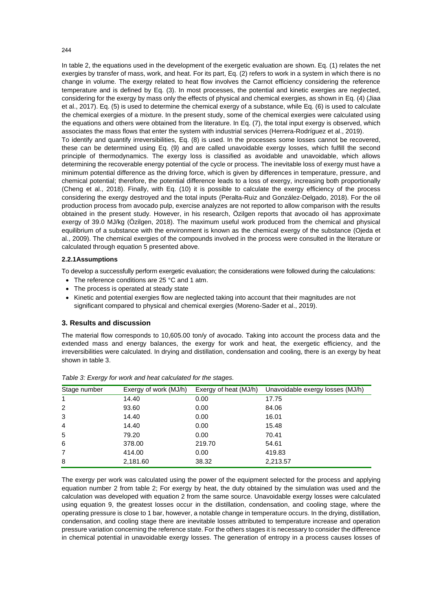## In table 2, the equations used in the development of the exergetic evaluation are shown. Eq. (1) relates the net exergies by transfer of mass, work, and heat. For its part, Eq. (2) refers to work in a system in which there is no change in volume. The exergy related to heat flow involves the Carnot efficiency considering the reference temperature and is defined by Eq. (3). In most processes, the potential and kinetic exergies are neglected, considering for the exergy by mass only the effects of physical and chemical exergies, as shown in Eq. (4) (Jiaa et al., 2017). Eq. (5) is used to determine the chemical exergy of a substance, while Eq. (6) is used to calculate the chemical exergies of a mixture. In the present study, some of the chemical exergies were calculated using the equations and others were obtained from the literature. In Eq. (7), the total input exergy is observed, which associates the mass flows that enter the system with industrial services (Herrera-Rodríguez et al., 2019).

To identify and quantify irreversibilities, Eq. (8) is used. In the processes some losses cannot be recovered, these can be determined using Eq. (9) and are called unavoidable exergy losses, which fulfill the second principle of thermodynamics. The exergy loss is classified as avoidable and unavoidable, which allows determining the recoverable energy potential of the cycle or process. The inevitable loss of exergy must have a minimum potential difference as the driving force, which is given by differences in temperature, pressure, and chemical potential; therefore, the potential difference leads to a loss of exergy, increasing both proportionally (Cheng et al., 2018). Finally, with Eq. (10) it is possible to calculate the exergy efficiency of the process considering the exergy destroyed and the total inputs (Peralta-Ruiz and González-Delgado, 2018). For the oil production process from avocado pulp, exercise analyzes are not reported to allow comparison with the results obtained in the present study. However, in his research, Özilgen reports that avocado oil has approximate exergy of 39.0 MJ/kg (Özilgen, 2018). The maximum useful work produced from the chemical and physical equilibrium of a substance with the environment is known as the chemical exergy of the substance (Ojeda et al., 2009). The chemical exergies of the compounds involved in the process were consulted in the literature or calculated through equation 5 presented above.

## **2.2.1Assumptions**

To develop a successfully perform exergetic evaluation; the considerations were followed during the calculations:

- The reference conditions are 25 °C and 1 atm.
- The process is operated at steady state
- Kinetic and potential exergies flow are neglected taking into account that their magnitudes are not significant compared to physical and chemical exergies (Moreno-Sader et al., 2019).

## **3. Results and discussion**

The material flow corresponds to 10,605.00 ton/y of avocado. Taking into account the process data and the extended mass and energy balances, the exergy for work and heat, the exergetic efficiency, and the irreversibilities were calculated. In drying and distillation, condensation and cooling, there is an exergy by heat shown in table 3.

| Stage number   | Exergy of work (MJ/h) | Exergy of heat (MJ/h) | Unavoidable exergy losses (MJ/h) |
|----------------|-----------------------|-----------------------|----------------------------------|
| $\mathbf{1}$   | 14.40                 | 0.00                  | 17.75                            |
| 2              | 93.60                 | 0.00                  | 84.06                            |
| 3              | 14.40                 | 0.00                  | 16.01                            |
| 4              | 14.40                 | 0.00                  | 15.48                            |
| 5              | 79.20                 | 0.00                  | 70.41                            |
| 6              | 378.00                | 219.70                | 54.61                            |
| $\overline{7}$ | 414.00                | 0.00                  | 419.83                           |
| 8              | 2,181.60              | 38.32                 | 2,213.57                         |

*Table 3: Exergy for work and heat calculated for the stages.*

The exergy per work was calculated using the power of the equipment selected for the process and applying equation number 2 from table 2; For exergy by heat, the duty obtained by the simulation was used and the calculation was developed with equation 2 from the same source. Unavoidable exergy losses were calculated using equation 9, the greatest losses occur in the distillation, condensation, and cooling stage, where the operating pressure is close to 1 bar, however, a notable change in temperature occurs. In the drying, distillation, condensation, and cooling stage there are inevitable losses attributed to temperature increase and operation pressure variation concerning the reference state. For the others stages it is necessary to consider the difference in chemical potential in unavoidable exergy losses. The generation of entropy in a process causes losses of

244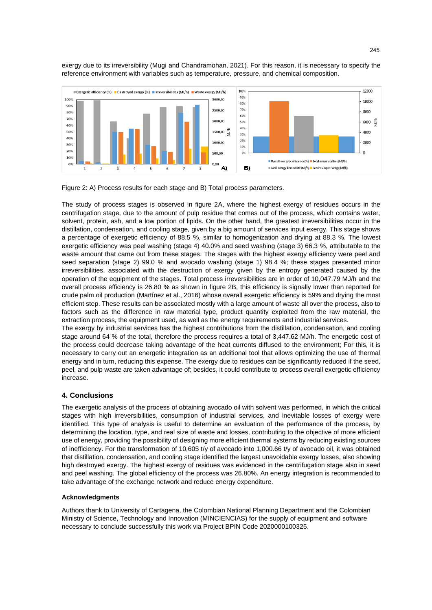exergy due to its irreversibility (Mugi and Chandramohan, 2021). For this reason, it is necessary to specify the reference environment with variables such as temperature, pressure, and chemical composition.



Figure 2: A) Process results for each stage and B) Total process parameters.

The study of process stages is observed in figure 2A, where the highest exergy of residues occurs in the centrifugation stage, due to the amount of pulp residue that comes out of the process, which contains water, solvent, protein, ash, and a low portion of lipids. On the other hand, the greatest irreversibilities occur in the distillation, condensation, and cooling stage, given by a big amount of services input exergy. This stage shows a percentage of exergetic efficiency of 88.5 %, similar to homogenization and drying at 88.3 %. The lowest exergetic efficiency was peel washing (stage 4) 40.0% and seed washing (stage 3) 66.3 %, attributable to the waste amount that came out from these stages. The stages with the highest exergy efficiency were peel and seed separation (stage 2) 99.0 % and avocado washing (stage 1) 98.4 %; these stages presented minor irreversibilities, associated with the destruction of exergy given by the entropy generated caused by the operation of the equipment of the stages. Total process irreversibilities are in order of 10,047.79 MJ/h and the overall process efficiency is 26.80 % as shown in figure 2B, this efficiency is signally lower than reported for crude palm oil production (Martínez et al., 2016) whose overall exergetic efficiency is 59% and drying the most efficient step. These results can be associated mostly with a large amount of waste all over the process, also to factors such as the difference in raw material type, product quantity exploited from the raw material, the extraction process, the equipment used, as well as the energy requirements and industrial services.

The exergy by industrial services has the highest contributions from the distillation, condensation, and cooling stage around 64 % of the total, therefore the process requires a total of 3,447.62 MJ/h. The energetic cost of the process could decrease taking advantage of the heat currents diffused to the environment; For this, it is necessary to carry out an energetic integration as an additional tool that allows optimizing the use of thermal energy and in turn, reducing this expense. The exergy due to residues can be significantly reduced if the seed, peel, and pulp waste are taken advantage of; besides, it could contribute to process overall exergetic efficiency increase.

## **4. Conclusions**

The exergetic analysis of the process of obtaining avocado oil with solvent was performed, in which the critical stages with high irreversibilities, consumption of industrial services, and inevitable losses of exergy were identified. This type of analysis is useful to determine an evaluation of the performance of the process, by determining the location, type, and real size of waste and losses, contributing to the objective of more efficient use of energy, providing the possibility of designing more efficient thermal systems by reducing existing sources of inefficiency. For the transformation of 10,605 t/y of avocado into 1,000.66 t/y of avocado oil, it was obtained that distillation, condensation, and cooling stage identified the largest unavoidable exergy losses, also showing high destroyed exergy. The highest exergy of residues was evidenced in the centrifugation stage also in seed and peel washing. The global efficiency of the process was 26.80%. An energy integration is recommended to take advantage of the exchange network and reduce energy expenditure.

### **Acknowledgments**

Authors thank to University of Cartagena, the Colombian National Planning Department and the Colombian Ministry of Science, Technology and Innovation (MINCIENCIAS) for the supply of equipment and software necessary to conclude successfully this work via Project BPIN Code 2020000100325.